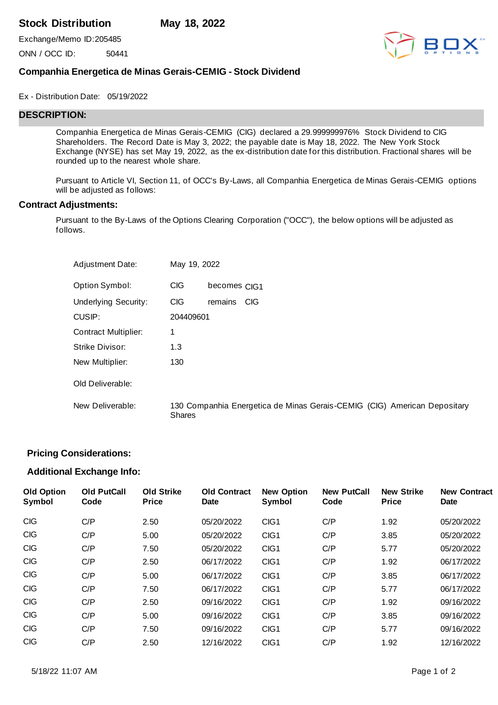# **Stock Distribution May 18, 2022**

Exchange/Memo ID:205485

ONN / OCC ID: 50441



# **Companhia Energetica de Minas Gerais-CEMIG - Stock Dividend**

#### Ex - Distribution Date: 05/19/2022

### **DESCRIPTION:**

Companhia Energetica de Minas Gerais-CEMIG (CIG) declared a 29.999999976% Stock Dividend to CIG Shareholders. The Record Date is May 3, 2022; the payable date is May 18, 2022. The New York Stock Exchange (NYSE) has set May 19, 2022, as the ex-distribution date for this distribution. Fractional shares will be rounded up to the nearest whole share.

Pursuant to Article VI, Section 11, of OCC's By-Laws, all Companhia Energetica de Minas Gerais-CEMIG options will be adjusted as follows:

#### **Contract Adjustments:**

Pursuant to the By-Laws of the Options Clearing Corporation ("OCC"), the below options will be adjusted as follows.

| <b>Adjustment Date:</b>     | May 19, 2022  |                                                                          |
|-----------------------------|---------------|--------------------------------------------------------------------------|
| Option Symbol:              | <b>CIG</b>    | becomes CIG1                                                             |
| <b>Underlying Security:</b> | <b>CIG</b>    | remains<br><b>CIG</b>                                                    |
| CUSIP:                      | 204409601     |                                                                          |
| <b>Contract Multiplier:</b> | 1             |                                                                          |
| Strike Divisor:             | 1.3           |                                                                          |
| New Multiplier:             | 130           |                                                                          |
| Old Deliverable:            |               |                                                                          |
| New Deliverable:            | <b>Shares</b> | 130 Companhia Energetica de Minas Gerais-CEMIG (CIG) American Depositary |

### **Pricing Considerations:**

### **Additional Exchange Info:**

| <b>Old Option</b><br>Symbol | <b>Old PutCall</b><br>Code | <b>Old Strike</b><br><b>Price</b> | <b>Old Contract</b><br>Date | <b>New Option</b><br>Symbol | <b>New PutCall</b><br>Code | <b>New Strike</b><br><b>Price</b> | <b>New Contract</b><br><b>Date</b> |
|-----------------------------|----------------------------|-----------------------------------|-----------------------------|-----------------------------|----------------------------|-----------------------------------|------------------------------------|
| <b>CIG</b>                  | C/P                        | 2.50                              | 05/20/2022                  | CIG <sub>1</sub>            | C/P                        | 1.92                              | 05/20/2022                         |
| <b>CIG</b>                  | C/P                        | 5.00                              | 05/20/2022                  | CIG <sub>1</sub>            | C/P                        | 3.85                              | 05/20/2022                         |
| <b>CIG</b>                  | C/P                        | 7.50                              | 05/20/2022                  | CIG1                        | C/P                        | 5.77                              | 05/20/2022                         |
| <b>CIG</b>                  | C/P                        | 2.50                              | 06/17/2022                  | CIG1                        | C/P                        | 1.92                              | 06/17/2022                         |
| <b>CIG</b>                  | C/P                        | 5.00                              | 06/17/2022                  | CIG <sub>1</sub>            | C/P                        | 3.85                              | 06/17/2022                         |
| <b>CIG</b>                  | C/P                        | 7.50                              | 06/17/2022                  | CIG <sub>1</sub>            | C/P                        | 5.77                              | 06/17/2022                         |
| <b>CIG</b>                  | C/P                        | 2.50                              | 09/16/2022                  | CIG <sub>1</sub>            | C/P                        | 1.92                              | 09/16/2022                         |
| <b>CIG</b>                  | C/P                        | 5.00                              | 09/16/2022                  | CIG <sub>1</sub>            | C/P                        | 3.85                              | 09/16/2022                         |
| <b>CIG</b>                  | C/P                        | 7.50                              | 09/16/2022                  | CIG <sub>1</sub>            | C/P                        | 5.77                              | 09/16/2022                         |
| <b>CIG</b>                  | C/P                        | 2.50                              | 12/16/2022                  | CIG1                        | C/P                        | 1.92                              | 12/16/2022                         |